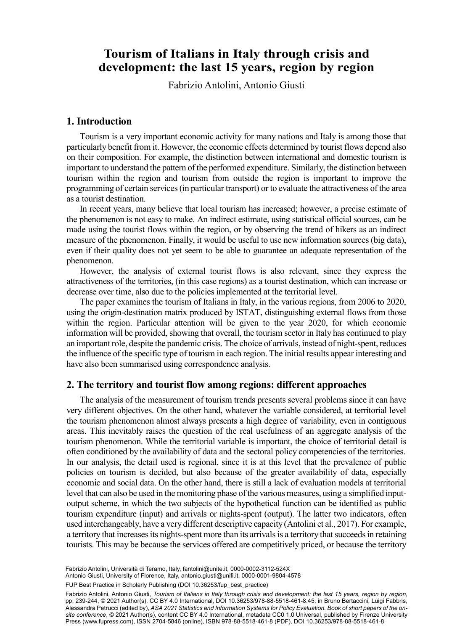# Tourism of Italians in Italy through crisis and Fabrizio Antolinia , Antonio Giustib **development: the last 15 years, region by region**

Fabrizio Antolini, Antonio Giusti

#### **1. Introduction**

Tourism is a very important economic activity for many nations and Italy is among those that particularly benefit from it. However, the economic effects determined by tourist flows depend also on their composition. For example, the distinction between international and domestic tourism is important to understand the pattern of the performed expenditure. Similarly, the distinction between tourism within the region and tourism from outside the region is important to improve the programming of certain services (in particular transport) or to evaluate the attractiveness of the area as a tourist destination.

In recent years, many believe that local tourism has increased; however, a precise estimate of the phenomenon is not easy to make. An indirect estimate, using statistical official sources, can be made using the tourist flows within the region, or by observing the trend of hikers as an indirect measure of the phenomenon. Finally, it would be useful to use new information sources (big data), even if their quality does not yet seem to be able to guarantee an adequate representation of the phenomenon.

However, the analysis of external tourist flows is also relevant, since they express the attractiveness of the territories, (in this case regions) as a tourist destination, which can increase or decrease over time, also due to the policies implemented at the territorial level.

The paper examines the tourism of Italians in Italy, in the various regions, from 2006 to 2020, using the origin-destination matrix produced by ISTAT, distinguishing external flows from those within the region. Particular attention will be given to the year 2020, for which economic information will be provided, showing that overall, the tourism sector in Italy has continued to play an important role, despite the pandemic crisis. The choice of arrivals, instead of night-spent, reduces the influence of the specific type of tourism in each region. The initial results appear interesting and have also been summarised using correspondence analysis.

## **2. The territory and tourist flow among regions: different approaches**

The analysis of the measurement of tourism trends presents several problems since it can have very different objectives. On the other hand, whatever the variable considered, at territorial level the tourism phenomenon almost always presents a high degree of variability, even in contiguous areas. This inevitably raises the question of the real usefulness of an aggregate analysis of the tourism phenomenon. While the territorial variable is important, the choice of territorial detail is often conditioned by the availability of data and the sectoral policy competencies of the territories. In our analysis, the detail used is regional, since it is at this level that the prevalence of public policies on tourism is decided, but also because of the greater availability of data, especially economic and social data. On the other hand, there is still a lack of evaluation models at territorial level that can also be used in the monitoring phase of the various measures, using a simplified inputoutput scheme, in which the two subjects of the hypothetical function can be identified as public tourism expenditure (input) and arrivals or nights-spent (output). The latter two indicators, often used interchangeably, have a very different descriptive capacity (Antolini et al., 2017). For example, a territory that increases its nights-spent more than its arrivals is a territory that succeeds in retaining tourists. This may be because the services offered are competitively priced, or because the territory

Fabrizio Antolini, Università di Teramo, Italy, [fantolini@unite.it](mailto:fantolini@unite.it), [0000-0002-3112-524X](https://orcid.org/0000-0002-3112-524X)

Antonio Giusti, University of Florence, Italy, [antonio.giusti@unifi.it](mailto:antonio.giusti@unifi.it), [0000-0001-9804-4578](https://orcid.org/0000-0001-9804-4578)

223 FUP Best Practice in Scholarly Publishing (DOI [10.36253/fup\\_best\\_practice](https://doi.org/10.36253/fup_best_practice))

Fabrizio Antolini, Antonio Giusti, *Tourism of Italians in Italy through crisis and development: the last 15 years, region by region*, pp. 239-244, © 2021 Author(s), [CC BY 4.0 International](http://creativecommons.org/licenses/by/4.0/legalcode), DOI [10.36253/978-88-5518-461-8.45,](https://doi.org/10.36253/978-88-5518-461-8.45) in Bruno Bertaccini, Luigi Fabbris, Alessandra Petrucci (edited by), *ASA 2021 Statistics and Information Systems for Policy Evaluation. Book of short papers of the onsite conference*, © 2021 Author(s), content [CC BY 4.0 International](http://creativecommons.org/licenses/by/4.0/legalcode), metadata [CC0 1.0 Universal](https://creativecommons.org/publicdomain/zero/1.0/legalcode), published by Firenze University Press ([www.fupress.com\)](http://www.fupress.com), ISSN 2704-5846 (online), ISBN 978-88-5518-461-8 (PDF), DOI [10.36253/978-88-5518-461-8](https://doi.org/10.36253/978-88-5518-461-8)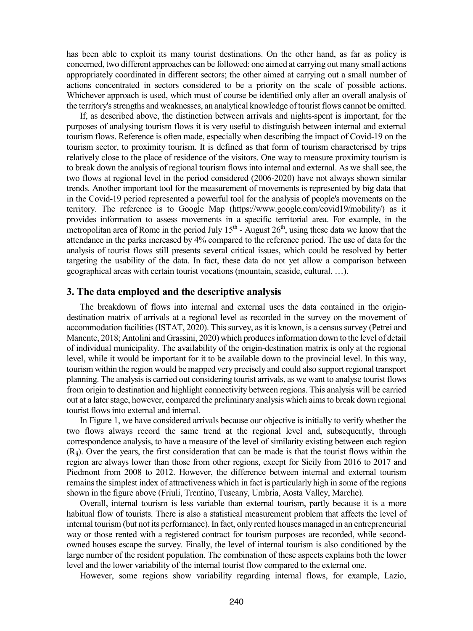has been able to exploit its many tourist destinations. On the other hand, as far as policy is concerned, two different approaches can be followed: one aimed at carrying out many small actions appropriately coordinated in different sectors; the other aimed at carrying out a small number of actions concentrated in sectors considered to be a priority on the scale of possible actions. Whichever approach is used, which must of course be identified only after an overall analysis of the territory's strengths and weaknesses, an analytical knowledge of tourist flows cannot be omitted.

If, as described above, the distinction between arrivals and nights-spent is important, for the purposes of analysing tourism flows it is very useful to distinguish between internal and external tourism flows. Reference is often made, especially when describing the impact of Covid-19 on the tourism sector, to proximity tourism. It is defined as that form of tourism characterised by trips relatively close to the place of residence of the visitors. One way to measure proximity tourism is to break down the analysis of regional tourism flows into internal and external. As we shall see, the two flows at regional level in the period considered (2006-2020) have not always shown similar trends. Another important tool for the measurement of movements is represented by big data that in the Covid-19 period represented a powerful tool for the analysis of people's movements on the territory. The reference is to Google Map (https://www.google.com/covid19/mobility/) as it provides information to assess movements in a specific territorial area. For example, in the metropolitan area of Rome in the period July 15<sup>th</sup> - August 26<sup>th</sup>, using these data we know that the attendance in the parks increased by 4% compared to the reference period. The use of data for the analysis of tourist flows still presents several critical issues, which could be resolved by better targeting the usability of the data. In fact, these data do not yet allow a comparison between geographical areas with certain tourist vocations (mountain, seaside, cultural, …).

## **3. The data employed and the descriptive analysis**

The breakdown of flows into internal and external uses the data contained in the origindestination matrix of arrivals at a regional level as recorded in the survey on the movement of accommodation facilities(ISTAT, 2020). This survey, as it is known, is a census survey (Petrei and Manente, 2018; Antolini and Grassini, 2020) which produces information down to the level of detail of individual municipality. The availability of the origin-destination matrix is only at the regional level, while it would be important for it to be available down to the provincial level. In this way, tourism within the region would be mapped very precisely and could also support regional transport planning. The analysis is carried out considering tourist arrivals, as we want to analyse tourist flows from origin to destination and highlight connectivity between regions. This analysis will be carried out at a later stage, however, compared the preliminary analysis which aims to break down regional tourist flows into external and internal.

In Figure 1, we have considered arrivals because our objective is initially to verify whether the two flows always record the same trend at the regional level and, subsequently, through correspondence analysis, to have a measure of the level of similarity existing between each region (Rij). Over the years, the first consideration that can be made is that the tourist flows within the region are always lower than those from other regions, except for Sicily from 2016 to 2017 and Piedmont from 2008 to 2012. However, the difference between internal and external tourism remains the simplest index of attractiveness which in fact is particularly high in some of the regions shown in the figure above (Friuli, Trentino, Tuscany, Umbria, Aosta Valley, Marche).

Overall, internal tourism is less variable than external tourism, partly because it is a more habitual flow of tourists. There is also a statistical measurement problem that affects the level of internal tourism (but not its performance). In fact, only rented houses managed in an entrepreneurial way or those rented with a registered contract for tourism purposes are recorded, while secondowned houses escape the survey. Finally, the level of internal tourism is also conditioned by the large number of the resident population. The combination of these aspects explains both the lower level and the lower variability of the internal tourist flow compared to the external one.

However, some regions show variability regarding internal flows, for example, Lazio,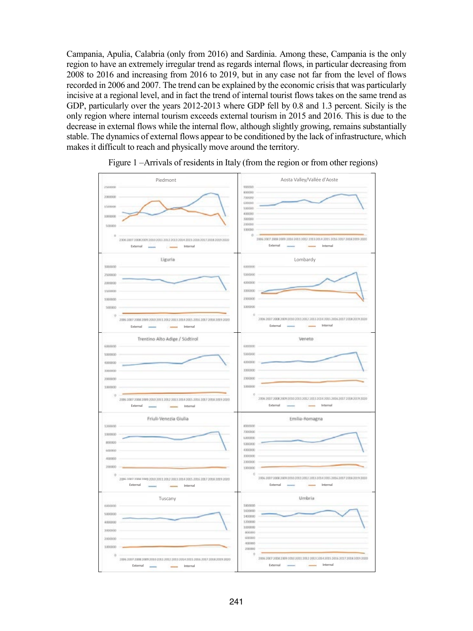Campania, Apulia, Calabria (only from 2016) and Sardinia. Among these, Campania is the only region to have an extremely irregular trend as regards internal flows, in particular decreasing from 2008 to 2016 and increasing from 2016 to 2019, but in any case not far from the level of flows recorded in 2006 and 2007. The trend can be explained by the economic crisis that was particularly incisive at a regional level, and in fact the trend of internal tourist flows takes on the same trend as GDP, particularly over the years 2012-2013 where GDP fell by 0.8 and 1.3 percent. Sicily is the only region where internal tourism exceeds external tourism in 2015 and 2016. This is due to the decrease in external flows while the internal flow, although slightly growing, remains substantially stable. The dynamics of external flows appear to be conditioned by the lack of infrastructure, which makes it difficult to reach and physically move around the territory.



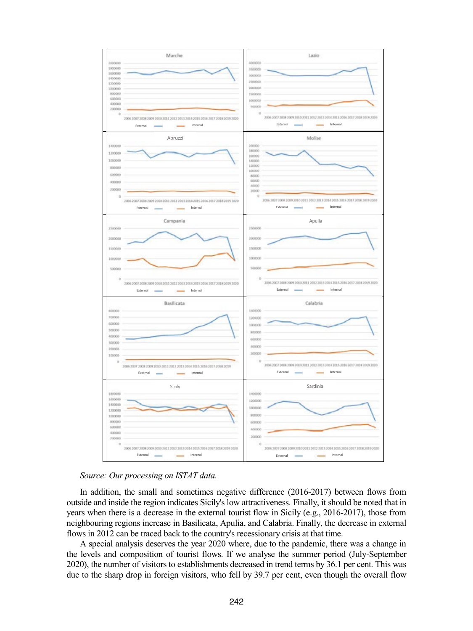



In addition, the small and sometimes negative difference (2016-2017) between flows from outside and inside the region indicates Sicily's low attractiveness. Finally, it should be noted that in years when there is a decrease in the external tourist flow in Sicily (e.g., 2016-2017), those from neighbouring regions increase in Basilicata, Apulia, and Calabria. Finally, the decrease in external flows in 2012 can be traced back to the country's recessionary crisis at that time.

A special analysis deserves the year 2020 where, due to the pandemic, there was a change in the levels and composition of tourist flows. If we analyse the summer period (July-September 2020), the number of visitors to establishments decreased in trend terms by 36.1 per cent. This was due to the sharp drop in foreign visitors, who fell by 39.7 per cent, even though the overall flow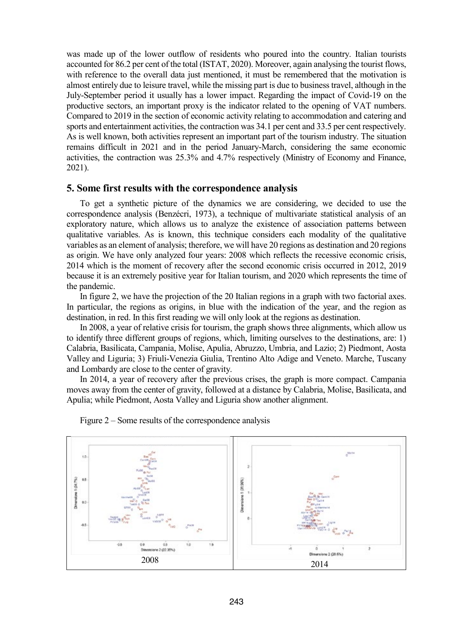was made up of the lower outflow of residents who poured into the country. Italian tourists accounted for 86.2 per cent of the total (ISTAT, 2020). Moreover, again analysing the tourist flows, with reference to the overall data just mentioned, it must be remembered that the motivation is almost entirely due to leisure travel, while the missing part is due to business travel, although in the July-September period it usually has a lower impact. Regarding the impact of Covid-19 on the productive sectors, an important proxy is the indicator related to the opening of VAT numbers. Compared to 2019 in the section of economic activity relating to accommodation and catering and sports and entertainment activities, the contraction was 34.1 per cent and 33.5 per cent respectively. As is well known, both activities represent an important part of the tourism industry. The situation remains difficult in 2021 and in the period January-March, considering the same economic activities, the contraction was 25.3% and 4.7% respectively (Ministry of Economy and Finance, 2021).

#### **5. Some first results with the correspondence analysis**

To get a synthetic picture of the dynamics we are considering, we decided to use the correspondence analysis (Benzécri, 1973), a technique of multivariate statistical analysis of an exploratory nature, which allows us to analyze the existence of association patterns between qualitative variables. As is known, this technique considers each modality of the qualitative variables as an element of analysis; therefore, we will have 20 regions as destination and 20 regions as origin. We have only analyzed four years: 2008 which reflects the recessive economic crisis, 2014 which is the moment of recovery after the second economic crisis occurred in 2012, 2019 because it is an extremely positive year for Italian tourism, and 2020 which represents the time of the pandemic.

In figure 2, we have the projection of the 20 Italian regions in a graph with two factorial axes. In particular, the regions as origins, in blue with the indication of the year, and the region as destination, in red. In this first reading we will only look at the regions as destination.

In 2008, a year of relative crisis for tourism, the graph shows three alignments, which allow us to identify three different groups of regions, which, limiting ourselves to the destinations, are: 1) Calabria, Basilicata, Campania, Molise, Apulia, Abruzzo, Umbria, and Lazio; 2) Piedmont, Aosta Valley and Liguria; 3) Friuli-Venezia Giulia, Trentino Alto Adige and Veneto. Marche, Tuscany and Lombardy are close to the center of gravity.

In 2014, a year of recovery after the previous crises, the graph is more compact. Campania moves away from the center of gravity, followed at a distance by Calabria, Molise, Basilicata, and Apulia; while Piedmont, Aosta Valley and Liguria show another alignment.